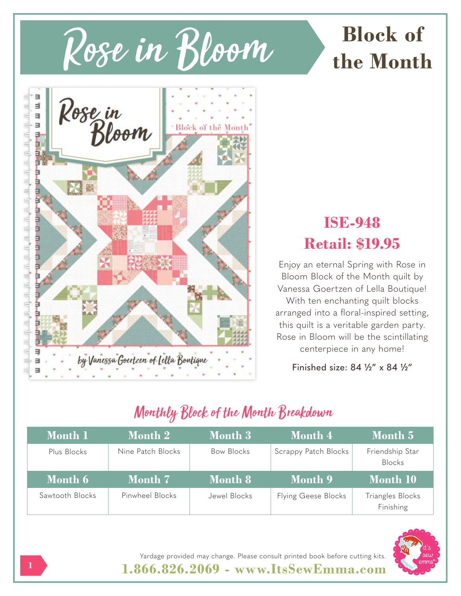



## **ISE-948 Retail: \$19.95**

Enjoy an eternal Spring with Rose in Bloom Block of the Month quilt by Vanessa Goertzen of Lella Boutique! With ten enchanting quilt blocks arranged into a floral-inspired setting, this quilt is a veritable garden party. Rose in Bloom will be the scintillating centerpiece in any home!

Finished size: 84 ½" x 84 ½"

# Monthly Block of the Month Breakdown

| Month 1     | <b>Month 2</b>    | <b>Month 3</b>    | <b>Month 4</b>       | Month 5                          |
|-------------|-------------------|-------------------|----------------------|----------------------------------|
| Plus Blocks | Nine Patch Blocks | <b>Bow Blocks</b> | Scrappy Patch Blocks | Friendship Star<br><b>Blocks</b> |
|             |                   |                   |                      |                                  |
| Month 6     | Month 7           | <b>Month 8</b>    | Month 9              | Month 10                         |



**1.866.826.2069 - www.ItsSewEmma.com** Yardage provided may change. Please consult printed book before cutting kits.

**1**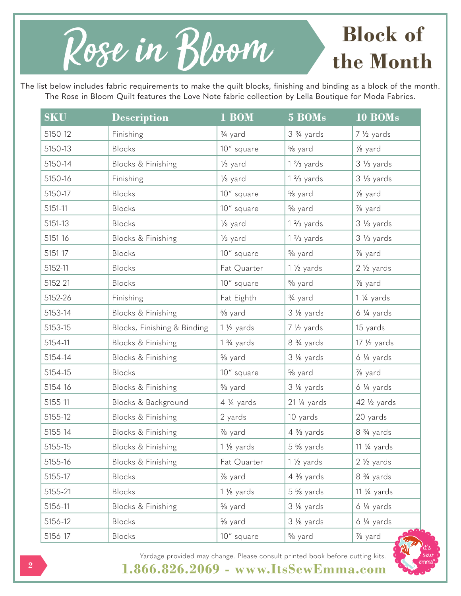

The list below includes fabric requirements to make the quilt blocks, finishing and binding as a block of the month. The Rose in Bloom Quilt features the Love Note fabric collection by Lella Boutique for Moda Fabrics.

| <b>SKU</b> | <b>Description</b>          | 1 BOM                   | 5 BOMs                | 10 BOMs                |
|------------|-----------------------------|-------------------------|-----------------------|------------------------|
| 5150-12    | Finishing                   | 3/ <sub>4</sub> yard    | 3 3/4 yards           | 7 1/2 yards            |
| 5150-13    | Blocks                      | 10" square              | % yard                | 1/8 yard               |
| 5150-14    | Blocks & Finishing          | 1/ <sub>3</sub> yard    | $1\frac{2}{3}$ yards  | $3\frac{1}{3}$ yards   |
| 5150-16    | Finishing                   | 1/ <sub>3</sub> yard    | $1\frac{2}{3}$ yards  | $3\frac{1}{3}$ yards   |
| 5150-17    | Blocks                      | 10" square              | % yard                | 1/8 yard               |
| 5151-11    | <b>Blocks</b>               | 10" square              | % yard                | $\frac{7}{8}$ yard     |
| 5151-13    | Blocks                      | 1/ <sub>3</sub> yard    | $1\frac{2}{3}$ yards  | $3\frac{1}{3}$ yards   |
| 5151-16    | Blocks & Finishing          | 1/ <sub>3</sub> yard    | $1\frac{2}{3}$ yards  | $3\frac{1}{3}$ yards   |
| 5151-17    | Blocks                      | 10" square              | % yard                | 1/8 yard               |
| 5152-11    | Blocks                      | Fat Quarter             | $1\frac{1}{2}$ yards  | $2\frac{1}{2}$ yards   |
| 5152-21    | Blocks                      | 10" square              | % yard                | 1/8 yard               |
| 5152-26    | Finishing                   | Fat Eighth              | 3/ <sub>4</sub> yard  | 1 1/4 yards            |
| 5153-14    | Blocks & Finishing          | % yard                  | 3 % yards             | $6\frac{1}{4}$ yards   |
| 5153-15    | Blocks, Finishing & Binding | $1\frac{1}{2}$ yards    | 7 1/2 yards           | 15 yards               |
| 5154-11    | Blocks & Finishing          | $1\frac{3}{4}$ yards    | 8 3/4 yards           | $17\frac{1}{2}$ yards  |
| 5154-14    | Blocks & Finishing          | % yard                  | 3 % yards             | $6\frac{1}{4}$ yards   |
| 5154-15    | Blocks                      | 10" square              | % yard                | 1/8 yard               |
| 5154-16    | Blocks & Finishing          | % yard                  | 3 % yards             | $6\frac{1}{4}$ yards   |
| 5155-11    | Blocks & Background         | 4 1/4 yards             | $21\frac{1}{4}$ yards | $42\frac{1}{2}$ yards  |
| 5155-12    | Blocks & Finishing          | 2 yards                 | 10 yards              | 20 yards               |
| 5155-14    | Blocks & Finishing          | 1/8 yard                | $4\frac{3}{8}$ yards  | 8 3/4 yards            |
| 5155-15    | Blocks & Finishing          | 1 1/ <sub>8</sub> yards | $5\frac{5}{8}$ yards  | 11 $\frac{1}{4}$ yards |
| 5155-16    | Blocks & Finishing          | Fat Quarter             | $1\frac{1}{2}$ yards  | $2\frac{1}{2}$ yards   |
| 5155-17    | Blocks                      | 1/8 yard                | $4\frac{3}{8}$ yards  | 8 3/4 yards            |
| 5155-21    | Blocks                      | 1 1/ <sub>8</sub> yards | $5\frac{5}{8}$ yards  | 11 $\frac{1}{4}$ yards |
| 5156-11    | Blocks & Finishing          | % yard                  | 3 % yards             | $6\frac{1}{4}$ yards   |
| 5156-12    | Blocks                      | % yard                  | 3 % yards             | 6 ¼ yards              |
| 5156-17    | Blocks                      | 10" square              | % yard                | 1/8 yard               |





**1.866.826.2069 - www.ItsSewEmma.com**